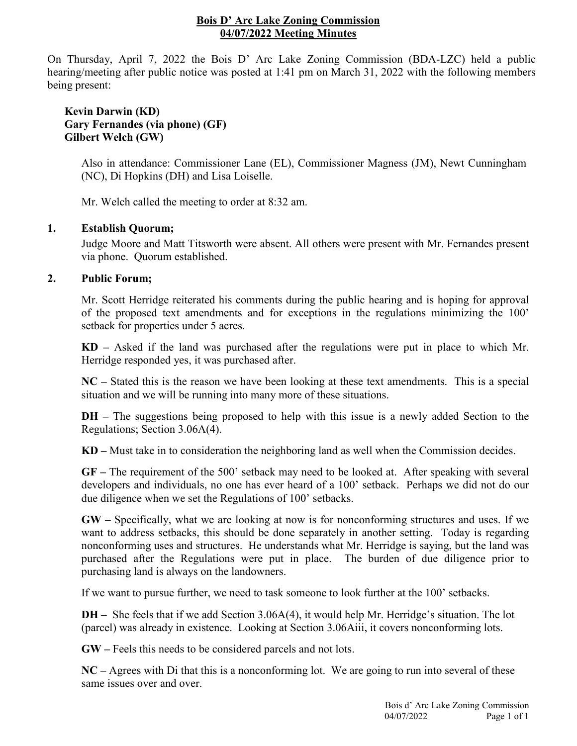## **Bois D' Arc Lake Zoning Commission 04/07/2022 Meeting Minutes**

On Thursday, April 7, 2022 the Bois D' Arc Lake Zoning Commission (BDA-LZC) held a public hearing/meeting after public notice was posted at 1:41 pm on March 31, 2022 with the following members being present:

# **Kevin Darwin (KD) Gary Fernandes (via phone) (GF) Gilbert Welch (GW)**

Also in attendance: Commissioner Lane (EL), Commissioner Magness (JM), Newt Cunningham (NC), Di Hopkins (DH) and Lisa Loiselle.

Mr. Welch called the meeting to order at 8:32 am.

# **1. Establish Quorum;**

Judge Moore and Matt Titsworth were absent. All others were present with Mr. Fernandes present via phone. Quorum established.

# **2. Public Forum;**

Mr. Scott Herridge reiterated his comments during the public hearing and is hoping for approval of the proposed text amendments and for exceptions in the regulations minimizing the 100' setback for properties under 5 acres.

**KD –** Asked if the land was purchased after the regulations were put in place to which Mr. Herridge responded yes, it was purchased after.

**NC –** Stated this is the reason we have been looking at these text amendments. This is a special situation and we will be running into many more of these situations.

**DH** – The suggestions being proposed to help with this issue is a newly added Section to the Regulations; Section 3.06A(4).

**KD –** Must take in to consideration the neighboring land as well when the Commission decides.

**GF –** The requirement of the 500' setback may need to be looked at. After speaking with several developers and individuals, no one has ever heard of a 100' setback. Perhaps we did not do our due diligence when we set the Regulations of 100' setbacks.

**GW –** Specifically, what we are looking at now is for nonconforming structures and uses. If we want to address setbacks, this should be done separately in another setting. Today is regarding nonconforming uses and structures. He understands what Mr. Herridge is saying, but the land was purchased after the Regulations were put in place. The burden of due diligence prior to purchasing land is always on the landowners.

If we want to pursue further, we need to task someone to look further at the 100' setbacks.

**DH –** She feels that if we add Section 3.06A(4), it would help Mr. Herridge's situation. The lot (parcel) was already in existence. Looking at Section 3.06Aiii, it covers nonconforming lots.

**GW –** Feels this needs to be considered parcels and not lots.

**NC –** Agrees with Di that this is a nonconforming lot. We are going to run into several of these same issues over and over.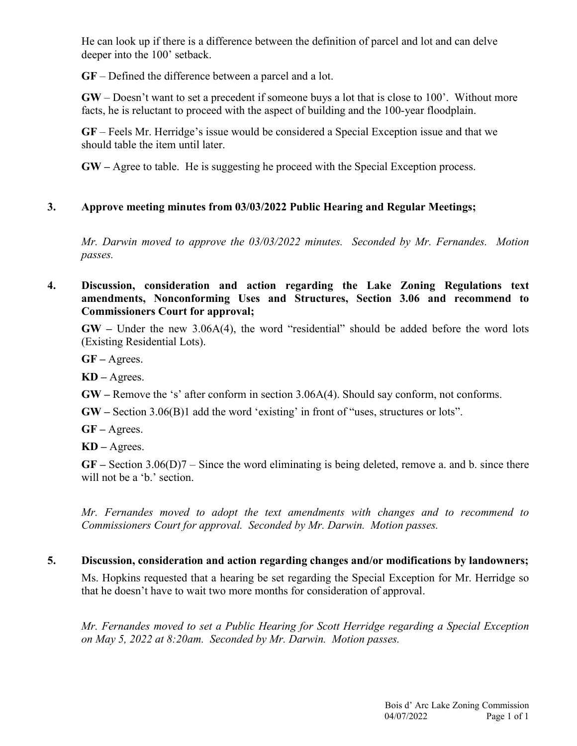He can look up if there is a difference between the definition of parcel and lot and can delve deeper into the 100' setback.

**GF** – Defined the difference between a parcel and a lot.

**GW** – Doesn't want to set a precedent if someone buys a lot that is close to 100'. Without more facts, he is reluctant to proceed with the aspect of building and the 100-year floodplain.

**GF** – Feels Mr. Herridge's issue would be considered a Special Exception issue and that we should table the item until later.

**GW –** Agree to table. He is suggesting he proceed with the Special Exception process.

### **3. Approve meeting minutes from 03/03/2022 Public Hearing and Regular Meetings;**

*Mr. Darwin moved to approve the 03/03/2022 minutes. Seconded by Mr. Fernandes. Motion passes.*

# **4. Discussion, consideration and action regarding the Lake Zoning Regulations text amendments, Nonconforming Uses and Structures, Section 3.06 and recommend to Commissioners Court for approval;**

**GW –** Under the new 3.06A(4), the word "residential" should be added before the word lots (Existing Residential Lots).

**GF –** Agrees.

**KD –** Agrees.

**GW –** Remove the 's' after conform in section 3.06A(4). Should say conform, not conforms.

**GW –** Section 3.06(B)1 add the word 'existing' in front of "uses, structures or lots".

**GF –** Agrees.

**KD –** Agrees.

**GF –** Section 3.06(D)7 – Since the word eliminating is being deleted, remove a. and b. since there will not be a 'b.' section.

*Mr. Fernandes moved to adopt the text amendments with changes and to recommend to Commissioners Court for approval. Seconded by Mr. Darwin. Motion passes.*

# **5. Discussion, consideration and action regarding changes and/or modifications by landowners;**

Ms. Hopkins requested that a hearing be set regarding the Special Exception for Mr. Herridge so that he doesn't have to wait two more months for consideration of approval.

*Mr. Fernandes moved to set a Public Hearing for Scott Herridge regarding a Special Exception on May 5, 2022 at 8:20am. Seconded by Mr. Darwin. Motion passes.*